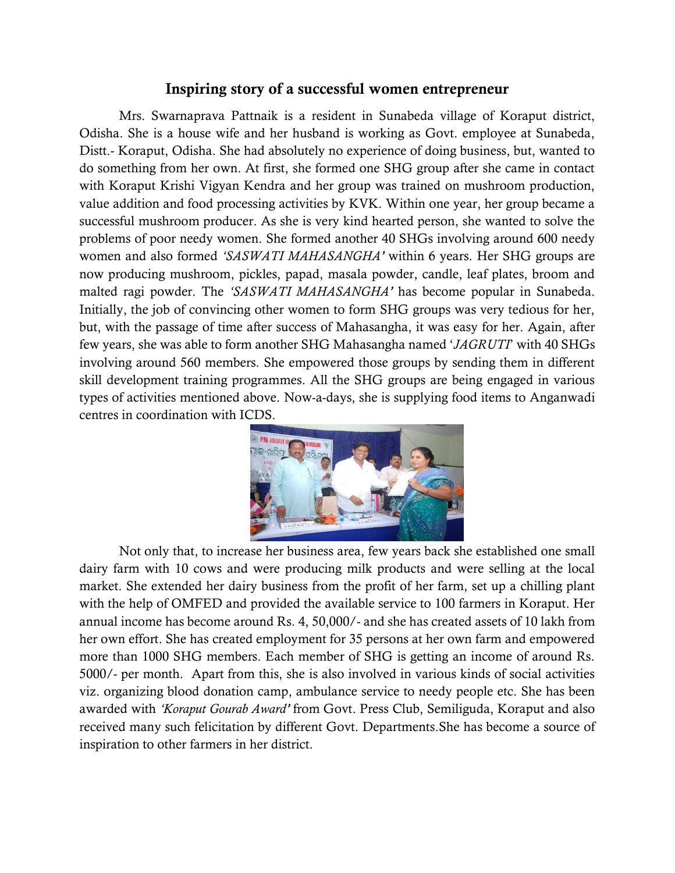## Inspiring story of a successful women entrepreneur

Mrs. Swarnaprava Pattnaik is a resident in Sunabeda village of Koraput district, Odisha. She is a house wife and her husband is working as Govt. employee at Sunabeda, Distt.- Koraput, Odisha. She had absolutely no experience of doing business, but, wanted to do something from her own. At first, she formed one SHG group after she came in contact with Koraput Krishi Vigyan Kendra and her group was trained on mushroom production, value addition and food processing activities by KVK. Within one year, her group became a successful mushroom producer. As she is very kind hearted person, she wanted to solve the problems of poor needy women. She formed another 40 SHGs involving around 600 needy women and also formed *'SASWATI MAHASANGHA'* within 6 years. Her SHG groups are now producing mushroom, pickles, papad, masala powder, candle, leaf plates, broom and malted ragi powder. The *'SASWATI MAHASANGHA'* has become popular in Sunabeda. Initially, the job of convincing other women to form SHG groups was very tedious for her, but, with the passage of time after success of Mahasangha, it was easy for her. Again, after few years, she was able to form another SHG Mahasangha named '*JAGRUTI*' with 40 SHGs involving around 560 members. She empowered those groups by sending them in different skill development training programmes. All the SHG groups are being engaged in various types of activities mentioned above. Now-a-days, she is supplying food items to Anganwadi centres in coordination with ICDS.



Not only that, to increase her business area, few years back she established one small dairy farm with 10 cows and were producing milk products and were selling at the local market. She extended her dairy business from the profit of her farm, set up a chilling plant with the help of OMFED and provided the available service to 100 farmers in Koraput. Her annual income has become around Rs. 4, 50,000/- and she has created assets of 10 lakh from her own effort. She has created employment for 35 persons at her own farm and empowered more than 1000 SHG members. Each member of SHG is getting an income of around Rs. 5000/- per month. Apart from this, she is also involved in various kinds of social activities viz. organizing blood donation camp, ambulance service to needy people etc. She has been awarded with *'Koraput Gourab Award'* from Govt. Press Club, Semiliguda, Koraput and also received many such felicitation by different Govt. Departments.She has become a source of inspiration to other farmers in her district.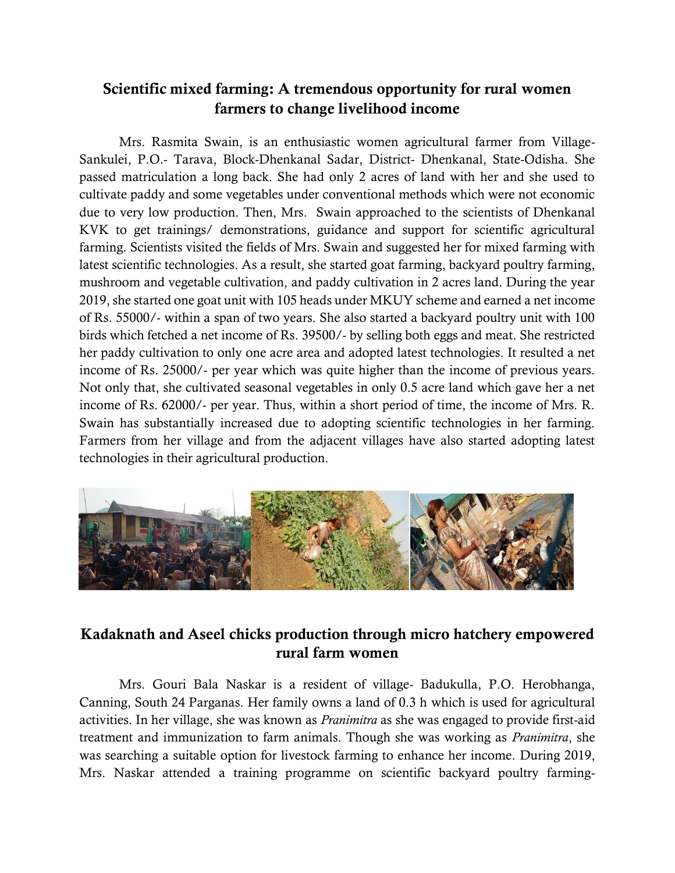## Scientific mixed farming: A tremendous opportunity for rural women farmers to change livelihood income

Mrs. Rasmita Swain, is an enthusiastic women agricultural farmer from Village-Sankulei, P.O.- Tarava, Block-Dhenkanal Sadar, District- Dhenkanal, State-Odisha. She passed matriculation a long back. She had only 2 acres of land with her and she used to cultivate paddy and some vegetables under conventional methods which were not economic due to very low production. Then, Mrs. Swain approached to the scientists of Dhenkanal KVK to get trainings/ demonstrations, guidance and support for scientific agricultural farming. Scientists visited the fields of Mrs. Swain and suggested her for mixed farming with latest scientific technologies. As a result, she started goat farming, backyard poultry farming, mushroom and vegetable cultivation, and paddy cultivation in 2 acres land. During the year 2019, she started one goat unit with 105 heads under MKUY scheme and earned a net income of Rs. 55000/- within a span of two years. She also started a backyard poultry unit with 100 birds which fetched a net income of Rs. 39500/- by selling both eggs and meat. She restricted her paddy cultivation to only one acre area and adopted latest technologies. It resulted a net income of Rs. 25000/- per year which was quite higher than the income of previous years. Not only that, she cultivated seasonal vegetables in only 0.5 acre land which gave her a net income of Rs. 62000/- per year. Thus, within a short period of time, the income of Mrs. R. Swain has substantially increased due to adopting scientific technologies in her farming. Farmers from her village and from the adjacent villages have also started adopting latest technologies in their agricultural production.



## Kadaknath and Aseel chicks production through micro hatchery empowered rural farm women

Mrs. Gouri Bala Naskar is a resident of village- Badukulla, P.O. Herobhanga, Canning, South 24 Parganas. Her family owns a land of 0.3 h which is used for agricultural activities. In her village, she was known as *Pranimitra* as she was engaged to provide first-aid treatment and immunization to farm animals. Though she was working as *Pranimitra*, she was searching a suitable option for livestock farming to enhance her income. During 2019, Mrs. Naskar attended a training programme on scientific backyard poultry farming